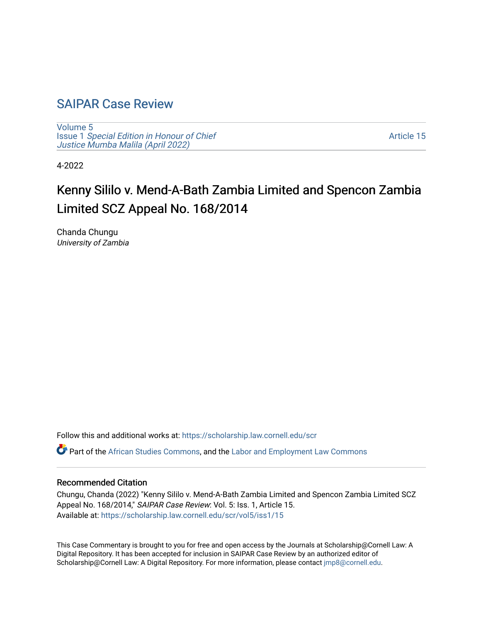# [SAIPAR Case Review](https://scholarship.law.cornell.edu/scr)

[Volume 5](https://scholarship.law.cornell.edu/scr/vol5) Issue 1 [Special Edition in Honour of Chief](https://scholarship.law.cornell.edu/scr/vol5/iss1) [Justice Mumba Malila \(April 2022\)](https://scholarship.law.cornell.edu/scr/vol5/iss1)

[Article 15](https://scholarship.law.cornell.edu/scr/vol5/iss1/15) 

4-2022

# Kenny Sililo v. Mend-A-Bath Zambia Limited and Spencon Zambia Limited SCZ Appeal No. 168/2014

Chanda Chungu University of Zambia

Follow this and additional works at: [https://scholarship.law.cornell.edu/scr](https://scholarship.law.cornell.edu/scr?utm_source=scholarship.law.cornell.edu%2Fscr%2Fvol5%2Fiss1%2F15&utm_medium=PDF&utm_campaign=PDFCoverPages) 

Part of the [African Studies Commons,](https://network.bepress.com/hgg/discipline/1043?utm_source=scholarship.law.cornell.edu%2Fscr%2Fvol5%2Fiss1%2F15&utm_medium=PDF&utm_campaign=PDFCoverPages) and the [Labor and Employment Law Commons](https://network.bepress.com/hgg/discipline/909?utm_source=scholarship.law.cornell.edu%2Fscr%2Fvol5%2Fiss1%2F15&utm_medium=PDF&utm_campaign=PDFCoverPages) 

#### Recommended Citation

Chungu, Chanda (2022) "Kenny Sililo v. Mend-A-Bath Zambia Limited and Spencon Zambia Limited SCZ Appeal No. 168/2014," SAIPAR Case Review: Vol. 5: Iss. 1, Article 15. Available at: [https://scholarship.law.cornell.edu/scr/vol5/iss1/15](https://scholarship.law.cornell.edu/scr/vol5/iss1/15?utm_source=scholarship.law.cornell.edu%2Fscr%2Fvol5%2Fiss1%2F15&utm_medium=PDF&utm_campaign=PDFCoverPages) 

This Case Commentary is brought to you for free and open access by the Journals at Scholarship@Cornell Law: A Digital Repository. It has been accepted for inclusion in SAIPAR Case Review by an authorized editor of Scholarship@Cornell Law: A Digital Repository. For more information, please contact [jmp8@cornell.edu](mailto:jmp8@cornell.edu).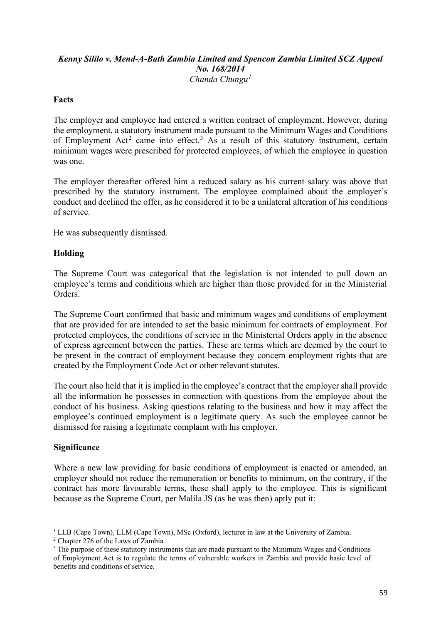# *Kenny Sililo v. Mend-A-Bath Zambia Limited and Spencon Zambia Limited SCZ Appeal No. 168/2014 Chanda Chungu[1](#page-1-0)*

## **Facts**

The employer and employee had entered a written contract of employment. However, during the employment, a statutory instrument made pursuant to the Minimum Wages and Conditions of Employment Act<sup>[2](#page-1-1)</sup> came into effect.<sup>[3](#page-1-2)</sup> As a result of this statutory instrument, certain minimum wages were prescribed for protected employees, of which the employee in question was one.

The employer thereafter offered him a reduced salary as his current salary was above that prescribed by the statutory instrument. The employee complained about the employer's conduct and declined the offer, as he considered it to be a unilateral alteration of his conditions of service.

He was subsequently dismissed.

### **Holding**

The Supreme Court was categorical that the legislation is not intended to pull down an employee's terms and conditions which are higher than those provided for in the Ministerial **Orders** 

The Supreme Court confirmed that basic and minimum wages and conditions of employment that are provided for are intended to set the basic minimum for contracts of employment. For protected employees, the conditions of service in the Ministerial Orders apply in the absence of express agreement between the parties. These are terms which are deemed by the court to be present in the contract of employment because they concern employment rights that are created by the Employment Code Act or other relevant statutes.

The court also held that it is implied in the employee's contract that the employer shall provide all the information he possesses in connection with questions from the employee about the conduct of his business. Asking questions relating to the business and how it may affect the employee's continued employment is a legitimate query. As such the employee cannot be dismissed for raising a legitimate complaint with his employer.

#### **Significance**

Where a new law providing for basic conditions of employment is enacted or amended, an employer should not reduce the remuneration or benefits to minimum, on the contrary, if the contract has more favourable terms, these shall apply to the employee. This is significant because as the Supreme Court, per Malila JS (as he was then) aptly put it:

<span id="page-1-0"></span> $1$  LLB (Cape Town), LLM (Cape Town), MSc (Oxford), lecturer in law at the University of Zambia.

<span id="page-1-1"></span><sup>&</sup>lt;sup>2</sup> Chapter 276 of the Laws of Zambia.

<span id="page-1-2"></span><sup>&</sup>lt;sup>3</sup> The purpose of these statutory instruments that are made pursuant to the Minimum Wages and Conditions of Employment Act is to regulate the terms of vulnerable workers in Zambia and provide basic level of benefits and conditions of service.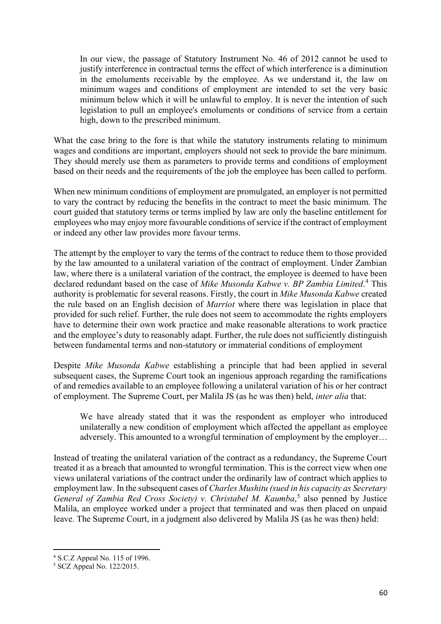In our view, the passage of Statutory Instrument No. 46 of 2012 cannot be used to justify interference in contractual terms the effect of which interference is a diminution in the emoluments receivable by the employee. As we understand it, the law on minimum wages and conditions of employment are intended to set the very basic minimum below which it will be unlawful to employ. It is never the intention of such legislation to pull an employee's emoluments or conditions of service from a certain high, down to the prescribed minimum.

What the case bring to the fore is that while the statutory instruments relating to minimum wages and conditions are important, employers should not seek to provide the bare minimum. They should merely use them as parameters to provide terms and conditions of employment based on their needs and the requirements of the job the employee has been called to perform.

When new minimum conditions of employment are promulgated, an employer is not permitted to vary the contract by reducing the benefits in the contract to meet the basic minimum. The court guided that statutory terms or terms implied by law are only the baseline entitlement for employees who may enjoy more favourable conditions of service if the contract of employment or indeed any other law provides more favour terms.

The attempt by the employer to vary the terms of the contract to reduce them to those provided by the law amounted to a unilateral variation of the contract of employment. Under Zambian law, where there is a unilateral variation of the contract, the employee is deemed to have been declared redundant based on the case of *Mike Musonda Kabwe v. BP Zambia Limited*. [4](#page-2-0) This authority is problematic for several reasons. Firstly, the court in *Mike Musonda Kabwe* created the rule based on an English decision of *Marriot* where there was legislation in place that provided for such relief. Further, the rule does not seem to accommodate the rights employers have to determine their own work practice and make reasonable alterations to work practice and the employee's duty to reasonably adapt. Further, the rule does not sufficiently distinguish between fundamental terms and non-statutory or immaterial conditions of employment

Despite *Mike Musonda Kabwe* establishing a principle that had been applied in several subsequent cases, the Supreme Court took an ingenious approach regarding the ramifications of and remedies available to an employee following a unilateral variation of his or her contract of employment. The Supreme Court, per Malila JS (as he was then) held, *inter alia* that:

We have already stated that it was the respondent as employer who introduced unilaterally a new condition of employment which affected the appellant as employee adversely. This amounted to a wrongful termination of employment by the employer…

Instead of treating the unilateral variation of the contract as a redundancy, the Supreme Court treated it as a breach that amounted to wrongful termination. This is the correct view when one views unilateral variations of the contract under the ordinarily law of contract which applies to employment law. In the subsequent cases of *Charles Mushitu (sued in his capacity as Secretary*  General of Zambia Red Cross Society) v. Christabel M. Kaumba,<sup>[5](#page-2-1)</sup> also penned by Justice Malila, an employee worked under a project that terminated and was then placed on unpaid leave. The Supreme Court, in a judgment also delivered by Malila JS (as he was then) held:

<span id="page-2-1"></span><span id="page-2-0"></span><sup>4</sup> S.C.Z Appeal No. 115 of 1996. 5 SCZ Appeal No. 122/2015.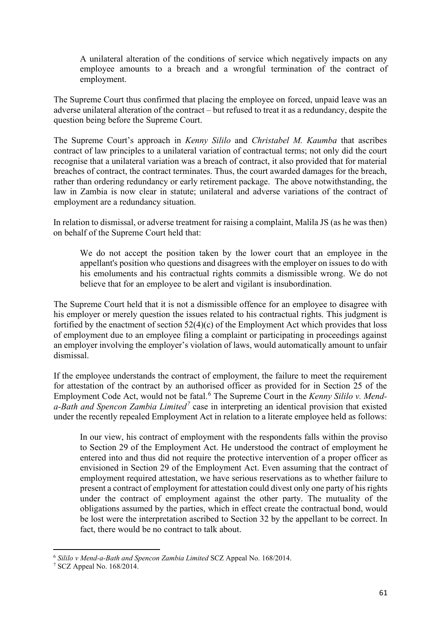A unilateral alteration of the conditions of service which negatively impacts on any employee amounts to a breach and a wrongful termination of the contract of employment.

The Supreme Court thus confirmed that placing the employee on forced, unpaid leave was an adverse unilateral alteration of the contract – but refused to treat it as a redundancy, despite the question being before the Supreme Court.

The Supreme Court's approach in *Kenny Sililo* and *Christabel M. Kaumba* that ascribes contract of law principles to a unilateral variation of contractual terms; not only did the court recognise that a unilateral variation was a breach of contract, it also provided that for material breaches of contract, the contract terminates. Thus, the court awarded damages for the breach, rather than ordering redundancy or early retirement package. The above notwithstanding, the law in Zambia is now clear in statute; unilateral and adverse variations of the contract of employment are a redundancy situation.

In relation to dismissal, or adverse treatment for raising a complaint, Malila JS (as he was then) on behalf of the Supreme Court held that:

We do not accept the position taken by the lower court that an employee in the appellant's position who questions and disagrees with the employer on issues to do with his emoluments and his contractual rights commits a dismissible wrong. We do not believe that for an employee to be alert and vigilant is insubordination.

The Supreme Court held that it is not a dismissible offence for an employee to disagree with his employer or merely question the issues related to his contractual rights. This judgment is fortified by the enactment of section 52(4)(c) of the Employment Act which provides that loss of employment due to an employee filing a complaint or participating in proceedings against an employer involving the employer's violation of laws, would automatically amount to unfair dismissal.

If the employee understands the contract of employment, the failure to meet the requirement for attestation of the contract by an authorised officer as provided for in Section 25 of the Employment Code Act, would not be fatal.<sup>[6](#page-3-0)</sup> The Supreme Court in the *Kenny Sililo v. Menda-Bath and Spencon Zambia Limited[7](#page-3-1)* case in interpreting an identical provision that existed under the recently repealed Employment Act in relation to a literate employee held as follows:

In our view, his contract of employment with the respondents falls within the proviso to Section 29 of the Employment Act. He understood the contract of employment he entered into and thus did not require the protective intervention of a proper officer as envisioned in Section 29 of the Employment Act. Even assuming that the contract of employment required attestation, we have serious reservations as to whether failure to present a contract of employment for attestation could divest only one party of his rights under the contract of employment against the other party. The mutuality of the obligations assumed by the parties, which in effect create the contractual bond, would be lost were the interpretation ascribed to Section 32 by the appellant to be correct. In fact, there would be no contract to talk about.

<span id="page-3-0"></span><sup>6</sup> *Sililo v Mend-a-Bath and Spencon Zambia Limited* SCZ Appeal No. 168/2014.

<span id="page-3-1"></span><sup>7</sup> SCZ Appeal No. 168/2014.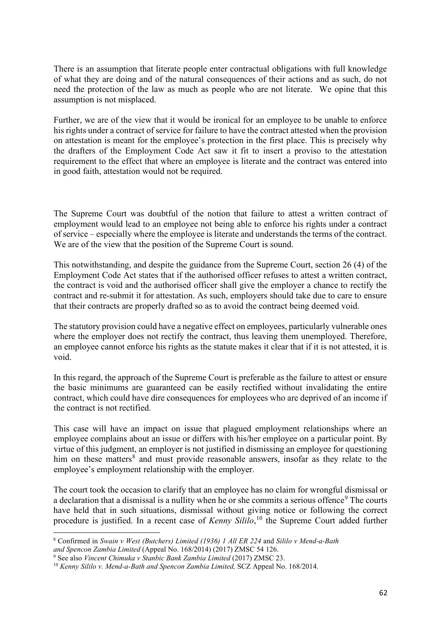There is an assumption that literate people enter contractual obligations with full knowledge of what they are doing and of the natural consequences of their actions and as such, do not need the protection of the law as much as people who are not literate. We opine that this assumption is not misplaced.

Further, we are of the view that it would be ironical for an employee to be unable to enforce his rights under a contract of service for failure to have the contract attested when the provision on attestation is meant for the employee's protection in the first place. This is precisely why the drafters of the Employment Code Act saw it fit to insert a proviso to the attestation requirement to the effect that where an employee is literate and the contract was entered into in good faith, attestation would not be required.

The Supreme Court was doubtful of the notion that failure to attest a written contract of employment would lead to an employee not being able to enforce his rights under a contract of service – especially where the employee is literate and understands the terms of the contract. We are of the view that the position of the Supreme Court is sound.

This notwithstanding, and despite the guidance from the Supreme Court, section 26 (4) of the Employment Code Act states that if the authorised officer refuses to attest a written contract, the contract is void and the authorised officer shall give the employer a chance to rectify the contract and re-submit it for attestation. As such, employers should take due to care to ensure that their contracts are properly drafted so as to avoid the contract being deemed void.

The statutory provision could have a negative effect on employees, particularly vulnerable ones where the employer does not rectify the contract, thus leaving them unemployed. Therefore, an employee cannot enforce his rights as the statute makes it clear that if it is not attested, it is void.

In this regard, the approach of the Supreme Court is preferable as the failure to attest or ensure the basic minimums are guaranteed can be easily rectified without invalidating the entire contract, which could have dire consequences for employees who are deprived of an income if the contract is not rectified.

This case will have an impact on issue that plagued employment relationships where an employee complains about an issue or differs with his/her employee on a particular point. By virtue of this judgment, an employer is not justified in dismissing an employee for questioning him on these matters<sup>[8](#page-4-0)</sup> and must provide reasonable answers, insofar as they relate to the employee's employment relationship with the employer.

The court took the occasion to clarify that an employee has no claim for wrongful dismissal or a declaration that a dismissal is a nullity when he or she commits a serious offence<sup>[9](#page-4-1)</sup> The courts have held that in such situations, dismissal without giving notice or following the correct procedure is justified. In a recent case of *Kenny Sililo*, [10](#page-4-2) the Supreme Court added further

<span id="page-4-0"></span><sup>8</sup> Confirmed in *Swain v West (Butchers) Limited (1936) 1 All ER 224* and *Sililo v Mend-a-Bath* 

<span id="page-4-1"></span><sup>&</sup>lt;sup>9</sup> See also *Vincent Chimuka v Stanbic Bank Zambia Limited* (2017) ZMSC 23.<br><sup>10</sup> Kenny Sililo v. Mend-a-Bath and Spencon Zambia Limited, SCZ Appeal No. 168/2014.

<span id="page-4-2"></span>